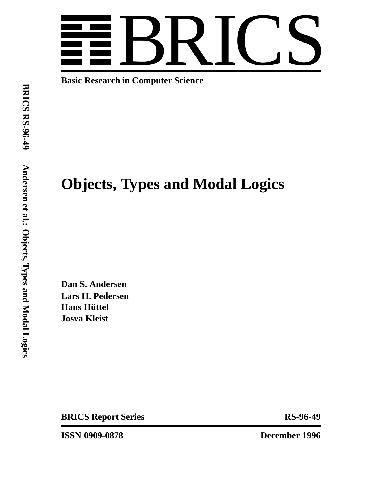

**Basic Research in Computer Science**

# **Objects, Types and Modal Logics**

**Dan S. Andersen Lars H. Pedersen Hans Hüttel Josva Kleist**

**BRICS Report Series** RS-96-49

**ISSN 0909-0878 December 1996**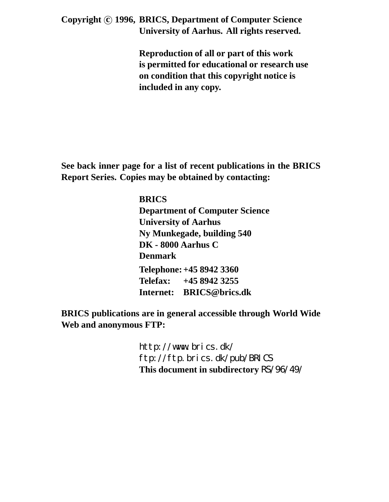**Copyright c 1996, BRICS, Department of Computer Science University of Aarhus. All rights reserved.**

> **Reproduction of all or part of this work is permitted for educational or research use on condition that this copyright notice is included in any copy.**

**See back inner page for a list of recent publications in the BRICS Report Series. Copies may be obtained by contacting:**

> **BRICS Department of Computer Science University of Aarhus Ny Munkegade, building 540 DK - 8000 Aarhus C Denmark Telephone: +45 8942 3360 Telefax: +45 8942 3255 Internet: BRICS@brics.dk**

**BRICS publications are in general accessible through World Wide Web and anonymous FTP:**

> http://www.brics.dk/ ftp://ftp.brics.dk/pub/BRICS **This document in subdirectory** RS/96/49/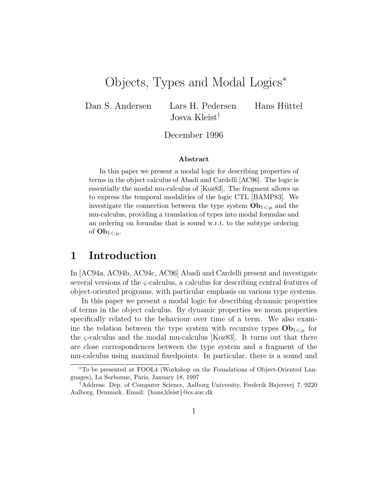## Objects, Types and Modal Logics<sup>∗</sup>

Dan S. Andersen Lars H. Pedersen Hans Hüttel Josva Kleist†

December 1996

#### **Abstract**

In this paper we present a modal logic for describing properties of terms in the object calculus of Abadi and Cardelli [AC96]. The logic is essentially the modal mu-calculus of [Koz83]. The fragment allows us to express the temporal modalities of the logic CTL [BAMP83]. We investigate the connection between the type system  $\mathbf{Ob}_{1 \leq \mu}$  and the mu-calculus, providing a translation of types into modal formulae and an ordering on formulae that is sound w.r.t. to the subtype ordering of  $\mathbf{Ob}_{1 \leq \mu}$ .

## **1 Introduction**

In [AC94a, AC94b, AC94c, AC96] Abadi and Cardelli present and investigate several versions of the ς-calculus, a calculus for describing central features of object-oriented programs, with particular emphasis on various type systems.

In this paper we present a modal logic for describing dynamic properties of terms in the object calculus. By dynamic properties we mean properties specifically related to the behaviour over time of a term. We also examine the relation between the type system with recursive types  $Ob_{1\leq u}$  for the ς-calculus and the modal mu-calculus [Koz83]. It turns out that there are close correspondences between the type system and a fragment of the mu-calculus using maximal fixedpoints. In particular, there is a sound and

<sup>∗</sup>To be presented at FOOL4 (Workshop on the Foundations of Object-Oriented Languages), La Sorbonne, Paris, January 18, 1997

<sup>†</sup>Address: Dep. of Computer Science, Aalborg University, Frederik Bajersvej 7, 9220 Aalborg, Denmark. Email: {hans,kleist}@cs.auc.dk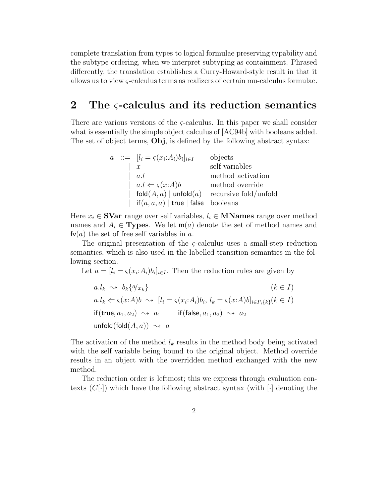complete translation from types to logical formulae preserving typability and the subtype ordering, when we interpret subtyping as containment. Phrased differently, the translation establishes a Curry-Howard-style result in that it allows us to view ς-calculus terms as realizers of certain mu-calculus formulae.

## **2 The** ς**-calculus and its reduction semantics**

There are various versions of the  $\varsigma$ -calculus. In this paper we shall consider what is essentially the simple object calculus of [AC94b] with booleans added. The set of object terms, **Obj**, is defined by the following abstract syntax:

|  |  | $a := [l_i = \varsigma(x_i : A_i)b_i]_{i \in I}$                       | objects               |  |
|--|--|------------------------------------------------------------------------|-----------------------|--|
|  |  | $\boldsymbol{x}$                                                       | self variables        |  |
|  |  | a.l                                                                    | method activation     |  |
|  |  | $a.l \Leftarrow \varsigma(x:A)b$                                       | method override       |  |
|  |  | $fold(A, a)  $ unfold $(a)$                                            | recursive fold/unfold |  |
|  |  | $\textsf{if}(a, a, a) \mid \textsf{true} \mid \textsf{false}$ booleans |                       |  |

Here  $x_i \in \mathbf{SVar}$  range over self variables,  $l_i \in \mathbf{MNames}$  range over method names and  $A_i \in \textbf{Types}$ . We let  $m(a)$  denote the set of method names and  $f\nu(a)$  the set of free self variables in a.

The original presentation of the  $\varsigma$ -calculus uses a small-step reduction semantics, which is also used in the labelled transition semantics in the following section.

Let  $a = [l_i = \varsigma(x_i : A_i)b_i]_{i \in I}$ . Then the reduction rules are given by

$$
a.l_k \rightsquigarrow b_k \{a/x_k\}
$$
\n
$$
(k \in I)
$$
\n
$$
a.l_k \Leftarrow \varsigma(x:A)b \rightsquigarrow [l_i = \varsigma(x:A_i)b_i, l_k = \varsigma(x:A)b]_{i \in I \setminus \{k\}} (k \in I)
$$
\n
$$
if(\text{true}, a_1, a_2) \rightsquigarrow a_1 \qquad \text{if}(\text{false}, a_1, a_2) \rightsquigarrow a_2
$$
\n
$$
\text{unfold}(\text{fold}(A, a)) \rightsquigarrow a
$$

The activation of the method  $l_k$  results in the method body being activated with the self variable being bound to the original object. Method override results in an object with the overridden method exchanged with the new method.

The reduction order is leftmost; this we express through evaluation contexts  $(C[\cdot])$  which have the following abstract syntax (with  $[\cdot]$  denoting the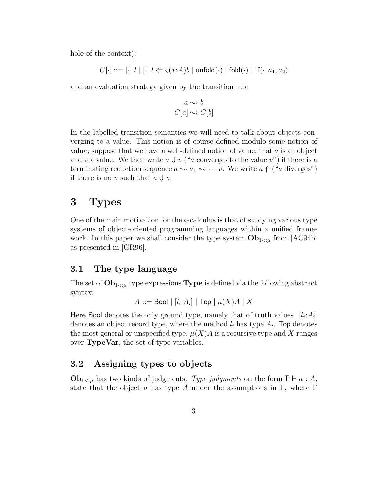hole of the context):

$$
C[\cdot] ::= [\cdot].l \mid [\cdot].l \Leftarrow \varsigma(x{:}A)b \mid \mathsf{unfold}(\cdot) \mid \mathsf{fold}(\cdot) \mid \mathsf{if}(\cdot,a_1,a_2)
$$

and an evaluation strategy given by the transition rule

$$
\frac{a \rightsquigarrow b}{C[a] \rightsquigarrow C[b]}
$$

In the labelled transition semantics we will need to talk about objects converging to a value. This notion is of course defined modulo some notion of value; suppose that we have a well-defined notion of value, that  $a$  is an object and v a value. We then write  $a \Downarrow v$  ("a converges to the value v") if there is a terminating reduction sequence  $a \rightsquigarrow a_1 \rightsquigarrow \cdots v$ . We write  $a \uparrow (a \text{ diverges})$ if there is no v such that  $a \Downarrow v$ .

## **3 Types**

One of the main motivation for the  $\varsigma$ -calculus is that of studying various type systems of object-oriented programming languages within a unified framework. In this paper we shall consider the type system  $Ob_{1\leq \mu}$  from [AC94b] as presented in [GR96].

#### **3.1 The type language**

The set of  $Ob_{1\leq \mu}$  type expressions **Type** is defined via the following abstract syntax:

 $A ::=$  Bool  $| [l_i:A_i] |$  Top  $| \mu(X)A | X$ 

Here Bool denotes the only ground type, namely that of truth values.  $[l_i: A_i]$ denotes an object record type, where the method  $l_i$  has type  $A_i$ . Top denotes the most general or unspecified type,  $\mu(X)A$  is a recursive type and X ranges over **TypeVar**, the set of type variables.

## **3.2 Assigning types to objects**

 $\mathbf{Ob}_{1 \leq \mu}$  has two kinds of judgments. Type judgments on the form  $\Gamma \vdash a : A$ , state that the object a has type A under the assumptions in  $\Gamma$ , where  $\Gamma$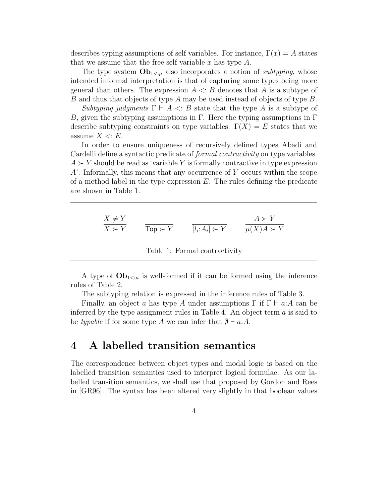describes typing assumptions of self variables. For instance,  $\Gamma(x) = A$  states that we assume that the free self variable x has type  $A$ .

The type system  $\mathbf{Ob}_{1 \leq \mu}$  also incorporates a notion of *subtyping*, whose intended informal interpretation is that of capturing some types being more general than others. The expression  $A \leq B$  denotes that A is a subtype of B and thus that objects of type A may be used instead of objects of type B.

Subtyping judgments  $\Gamma \vdash A \prec B$  state that the type A is a subtype of B, given the subtyping assumptions in Γ. Here the typing assumptions in Γ. describe subtyping constraints on type variables.  $\Gamma(X) = E$  states that we assume  $X \leq E$ .

In order to ensure uniqueness of recursively defined types Abadi and Cardelli define a syntactic predicate of formal contractivity on type variables.  $A \succ Y$  should be read as 'variable Y is formally contractive in type expression  $A'$ . Informally, this means that any occurrence of Y occurs within the scope of a method label in the type expression  $E$ . The rules defining the predicate are shown in Table 1.

$$
\frac{X \neq Y}{X \succ Y} \qquad \frac{A \succ Y}{\text{Top} \succ Y} \qquad \frac{A \succ Y}{[l_i:A_i] \succ Y} \qquad \frac{A \succ Y}{\mu(X)A \succ Y}
$$

Table 1: Formal contractivity

A type of  $Ob_{1\leq \mu}$  is well-formed if it can be formed using the inference rules of Table 2.

The subtyping relation is expressed in the inference rules of Table 3.

Finally, an object a has type A under assumptions  $\Gamma$  if  $\Gamma \vdash a:A$  can be inferred by the type assignment rules in Table 4. An object term  $a$  is said to be typable if for some type A we can infer that  $\emptyset \vdash a:A$ .

## **4 A labelled transition semantics**

The correspondence between object types and modal logic is based on the labelled transition semantics used to interpret logical formulae. As our labelled transition semantics, we shall use that proposed by Gordon and Rees in [GR96]. The syntax has been altered very slightly in that boolean values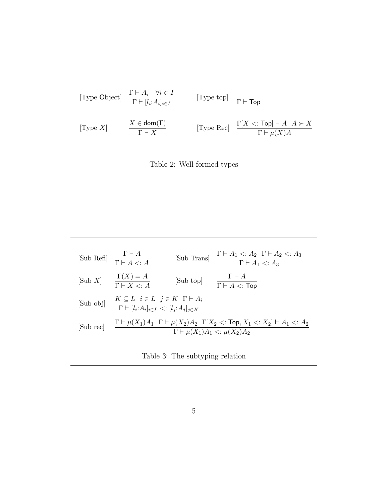



|                   | [Sub Refl] $\frac{\Gamma \vdash A}{\Gamma \vdash A \leq A}$                                                                                               |           | [Sub Trans] $\frac{\Gamma \vdash A_1 \lt: A_2 \Gamma \vdash A_2 \lt: A_3}{\Gamma \vdash A_1 \lt: A_3}$ |  |  |  |
|-------------------|-----------------------------------------------------------------------------------------------------------------------------------------------------------|-----------|--------------------------------------------------------------------------------------------------------|--|--|--|
| $[\text{Sub } X]$ | $\frac{\Gamma(X) = A}{\Gamma \vdash X \leq A}$                                                                                                            | [Sub top] | $\Gamma\vdash A$<br>$\overline{\Gamma \vdash A}$ <: Top                                                |  |  |  |
| [Sub obj]         | $K \subseteq L \quad i \in L \quad j \in K \quad \Gamma \vdash A_i$<br>$\overline{\Gamma \vdash [l_i:A_i]_{i\in L}} \leq [l_j:A_j]_{j\in K}$              |           |                                                                                                        |  |  |  |
| [Sub rec]         | $\Gamma\vdash \mu(X_1)A_1\ \ \Gamma\vdash \mu(X_2)A_2\ \ \Gamma[X_2<:\textsf{Top},X_1<:X_2]\vdash A_1<:A_2$<br>$\Gamma \vdash \mu(X_1)A_1 <: \mu(X_2)A_2$ |           |                                                                                                        |  |  |  |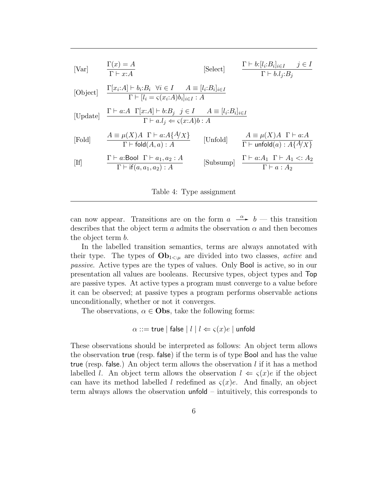| [Var]    | $\Gamma(x) = A$<br>$\Gamma \vdash x:A$                                                                                                               | [Select] | $\Gamma \vdash b:[l_i:B_i]_{i\in I} \quad j\in I$<br>$\Gamma \vdash b.l_i:B_i$                                    |
|----------|------------------------------------------------------------------------------------------------------------------------------------------------------|----------|-------------------------------------------------------------------------------------------------------------------|
| [Object] | $\frac{\Gamma[x_i:A] \vdash b_i:B_i \ \forall i \in I \qquad A \equiv [l_i:B_i]_{i \in I}}{\Gamma \vdash [l_i = \varsigma(x_i:A)b_i]_{i \in I} : A}$ |          |                                                                                                                   |
| [Update] | $\frac{\Gamma\vdash a:A\ \ \Gamma[x:A]\vdash b:B_j\ \ j\in I\ \ A\equiv [l_i:B_i]_{i\in I}}{\Gamma\vdash a.l_j \Leftarrow \varsigma(x:A)b:A}$        |          |                                                                                                                   |
| [Fold]   | $A \equiv \mu(X)A \Gamma \vdash a:A\{A/X\}$<br>$\overline{\Gamma}$ $\vdash$ fold $(A, a) : A$                                                        | [Unfold] | $A \equiv \mu(X)A \Gamma \vdash a:A$<br>$\Gamma \vdash$ unfold $(a) : A\{A/X\}$                                   |
| [If]     | $\Gamma \vdash a:\text{Bool} \Gamma \vdash a_1, a_2 : A$<br>$\Gamma \vdash \text{if}(a, a_1, a_2) : A$                                               |          | $\label{subsum} \mbox{[Subsump]} \quad \frac{\Gamma\vdash a{:}A_1\;\; \Gamma\vdash A_1<:A_2}{\Gamma\vdash a:A_2}$ |

Table 4: Type assignment

can now appear. Transitions are on the form  $a \stackrel{\alpha}{\longrightarrow} b$  — this transition describes that the object term a admits the observation  $\alpha$  and then becomes the object term b.

In the labelled transition semantics, terms are always annotated with their type. The types of  $\mathbf{Ob}_{1 \leq \mu}$  are divided into two classes, *active* and passive. Active types are the types of values. Only Bool is active, so in our presentation all values are booleans. Recursive types, object types and Top are passive types. At active types a program must converge to a value before it can be observed; at passive types a program performs observable actions unconditionally, whether or not it converges.

The observations,  $\alpha \in \mathbf{Obs}$ , take the following forms:

$$
\alpha ::= \mathsf{true} \mid \mathsf{false} \mid l \mid l \Leftarrow \varsigma(x)e \mid \mathsf{unfold}
$$

These observations should be interpreted as follows: An object term allows the observation true (resp. false) if the term is of type Bool and has the value true (resp. false.) An object term allows the observation  $l$  if it has a method labelled l. An object term allows the observation  $l \leftarrow \varsigma(x)e$  if the object can have its method labelled l redefined as  $\zeta(x)e$ . And finally, an object term always allows the observation unfold – intuitively, this corresponds to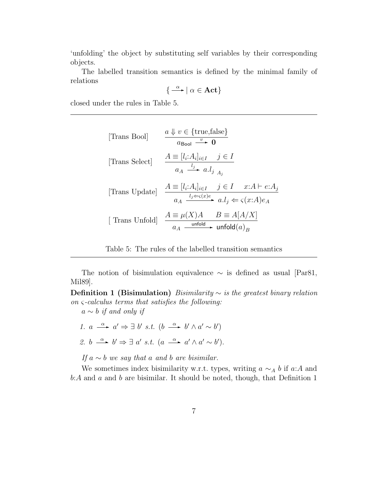'unfolding' the object by substituting self variables by their corresponding objects.

The labelled transition semantics is defined by the minimal family of relations

$$
\{\xrightarrow{\alpha} |\alpha \in \mathbf{Act}\}
$$

closed under the rules in Table 5.

[Trans Bool] 
$$
\frac{a \Downarrow v \in \{\text{true, false}\}}{a_{\text{Bool}} \xrightarrow{v} 0}
$$
  
\n[Trans Select] 
$$
\frac{A \equiv [l_i: A_i]_{i \in I} \quad j \in I}{a_A \xrightarrow{l_j} a.l_j}
$$
  
\n[Trans Update] 
$$
\frac{A \equiv [l_i: A_i]_{i \in I} \quad j \in I \quad x:A \vdash e:A_j}{a_A \xrightarrow{l_j \Leftarrow \varsigma(x)e} a.l_j \Leftarrow \varsigma(x:A)e_A}
$$
  
\n[ Trans Unfold] 
$$
\frac{A \equiv \mu(X)A \quad B \equiv A[A/X]}{a_A \xrightarrow{\text{unfold} \rightarrow \text{unfold}(a)_B}
$$

Table 5: The rules of the labelled transition semantics

The notion of bisimulation equivalence  $\sim$  is defined as usual [Par81, Mil89].

**Definition 1 (Bisimulation)** Bisimilarity  $\sim$  is the greatest binary relation on ς-calculus terms that satisfies the following:

 $a \sim b$  if and only if

1.  $a \stackrel{\alpha}{\longrightarrow} a' \Rightarrow \exists b' s.t. (b \stackrel{\alpha}{\longrightarrow} b' \land a' \sim b')$ 

2. 
$$
b \xrightarrow{\alpha} b' \Rightarrow \exists a' s.t. (a \xrightarrow{\alpha} a' \land a' \sim b').
$$

If  $a \sim b$  we say that a and b are bisimilar.

We sometimes index bisimilarity w.r.t. types, writing  $a \sim_A b$  if a:A and  $b:A$  and  $a$  and  $b$  are bisimilar. It should be noted, though, that Definition 1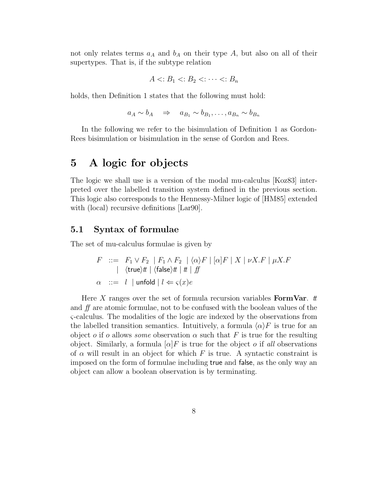not only relates terms  $a_A$  and  $b_A$  on their type A, but also on all of their supertypes. That is, if the subtype relation

$$
A \langle B_1 \langle B_2 \langle \cdots \langle B_n \rangle \rangle
$$

holds, then Definition 1 states that the following must hold:

 $a_A \sim b_A \Rightarrow a_{B_1} \sim b_{B_1}, \ldots, a_{B_n} \sim b_{B_n}$ 

In the following we refer to the bisimulation of Definition 1 as Gordon-Rees bisimulation or bisimulation in the sense of Gordon and Rees.

## **5 A logic for objects**

The logic we shall use is a version of the modal mu-calculus [Koz83] interpreted over the labelled transition system defined in the previous section. This logic also corresponds to the Hennessy-Milner logic of [HM85] extended with (local) recursive definitions [Largo].

#### **5.1 Syntax of formulae**

The set of mu-calculus formulae is given by

$$
F ::= F_1 \vee F_2 \mid F_1 \wedge F_2 \mid \langle \alpha \rangle F \mid [\alpha] F \mid X \mid \nu X.F \mid \mu X.F
$$
  
|\langle true \rangle t \mid \langle false \rangle t \mid t \mid ff  

$$
\alpha ::= l \mid \text{unfold} \mid l \Leftarrow \varsigma(x)e
$$

Here  $X$  ranges over the set of formula recursion variables **FormVar**.  $t$ and ff are atomic formulae, not to be confused with the boolean values of the ς-calculus. The modalities of the logic are indexed by the observations from the labelled transition semantics. Intuitively, a formula  $\langle \alpha \rangle F$  is true for an object o if o allows some observation  $\alpha$  such that F is true for the resulting object. Similarly, a formula  $\alpha$  F is true for the object o if all observations of  $\alpha$  will result in an object for which F is true. A syntactic constraint is imposed on the form of formulae including true and false, as the only way an object can allow a boolean observation is by terminating.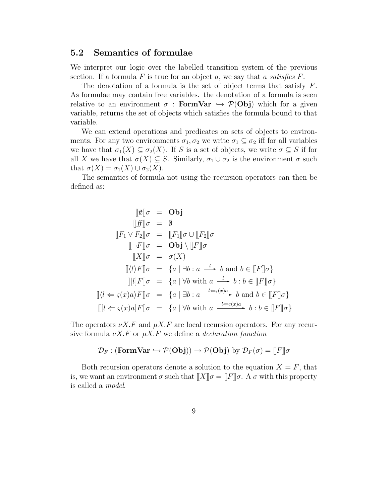#### **5.2 Semantics of formulae**

We interpret our logic over the labelled transition system of the previous section. If a formula  $F$  is true for an object  $a$ , we say that  $a$  satisfies  $F$ .

The denotation of a formula is the set of object terms that satisfy  $F$ . As formulae may contain free variables. the denotation of a formula is seen relative to an environment  $\sigma$  : **FormVar**  $\hookrightarrow$   $\mathcal{P}(\text{Obj})$  which for a given variable, returns the set of objects which satisfies the formula bound to that variable.

We can extend operations and predicates on sets of objects to environments. For any two environments  $\sigma_1, \sigma_2$  we write  $\sigma_1 \subseteq \sigma_2$  iff for all variables we have that  $\sigma_1(X) \subseteq \sigma_2(X)$ . If S is a set of objects, we write  $\sigma \subseteq S$  if for all X we have that  $\sigma(X) \subseteq S$ . Similarly,  $\sigma_1 \cup \sigma_2$  is the environment  $\sigma$  such that  $\sigma(X) = \sigma_1(X) \cup \sigma_2(X)$ .

The semantics of formula not using the recursion operators can then be defined as:

$$
[\![t]\!] \sigma = \text{Obj}
$$
\n
$$
[\![f]\!] \sigma = \emptyset
$$
\n
$$
[\![F_1 \vee F_2]\!] \sigma = [\![F_1]\!] \sigma \cup [\![F_2]\!] \sigma
$$
\n
$$
[\![\neg F]\!] \sigma = \text{Obj} \setminus [\![F]\!] \sigma
$$
\n
$$
[\![X]\!] \sigma = \sigma(X)
$$
\n
$$
[\![\langle l \rangle F]\!] \sigma = \{a \mid \exists b : a \xrightarrow{l} b \text{ and } b \in [\![F]\!] \sigma\}
$$
\n
$$
[\![\langle l \rangle F]\!] \sigma = \{a \mid \forall b \text{ with } a \xrightarrow{l} b : b \in [\![F]\!] \sigma\}
$$
\n
$$
[\![\langle l \Leftarrow \varsigma(x)a \rangle F]\!] \sigma = \{a \mid \exists b : a \xrightarrow{l \Leftarrow \varsigma(x)a} b \text{ and } b \in [\![F]\!] \sigma\}
$$
\n
$$
[\![\langle l \Leftarrow \varsigma(x)a \rangle F]\!] \sigma = \{a \mid \forall b \text{ with } a \xrightarrow{l \Leftarrow \varsigma(x)a} b : b \in [\![F]\!] \sigma\}
$$

The operators  $\nu X.F$  and  $\mu X.F$  are local recursion operators. For any recursive formula  $\nu X.F$  or  $\mu X.F$  we define a *declaration function* 

$$
\mathcal{D}_F: (\mathbf{FormVar} \hookrightarrow \mathcal{P}(\mathbf{Obj})) \to \mathcal{P}(\mathbf{Obj}) \text{ by } \mathcal{D}_F(\sigma) = \llbracket F \rrbracket \sigma
$$

Both recursion operators denote a solution to the equation  $X = F$ , that is, we want an environment  $\sigma$  such that  $[[X]]\sigma = [[F]]\sigma$ . A  $\sigma$  with this property is called a model.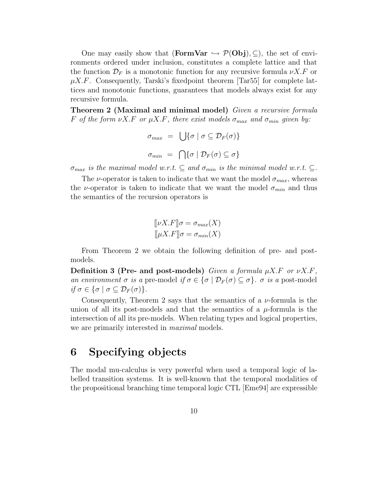One may easily show that (**FormVar**  $\rightarrow \mathcal{P}(\text{Obj})$ ,  $\subseteq$ ), the set of environments ordered under inclusion, constitutes a complete lattice and that the function  $\mathcal{D}_F$  is a monotonic function for any recursive formula  $\nu X.F$  or  $\mu X.F.$  Consequently, Tarski's fixedpoint theorem [Tar55] for complete lattices and monotonic functions, guarantees that models always exist for any recursive formula.

**Theorem 2 (Maximal and minimal model)** Given a recursive formula F of the form  $\nu X.F$  or  $\mu X.F$ , there exist models  $\sigma_{max}$  and  $\sigma_{min}$  given by:

$$
\sigma_{max} = \bigcup \{ \sigma \mid \sigma \subseteq \mathcal{D}_F(\sigma) \}
$$

$$
\sigma_{min} = \bigcap \{ \sigma \mid \mathcal{D}_F(\sigma) \subseteq \sigma \}
$$

 $\sigma_{max}$  is the maximal model w.r.t.  $\subseteq$  and  $\sigma_{min}$  is the minimal model w.r.t.  $\subseteq$ .

The *v*-operator is taken to indicate that we want the model  $\sigma_{max}$ , whereas the *ν*-operator is taken to indicate that we want the model  $\sigma_{min}$  and thus the semantics of the recursion operators is

$$
[\![\nu X.F]\!] \sigma = \sigma_{max}(X)
$$

$$
[\![\mu X.F]\!] \sigma = \sigma_{min}(X)
$$

From Theorem 2 we obtain the following definition of pre- and postmodels.

**Definition 3 (Pre- and post-models)** Given a formula  $\mu X.F$  or  $\nu X.F$ , an environment  $\sigma$  is a pre-model if  $\sigma \in {\sigma | \mathcal{D}_F(\sigma) \subseteq \sigma}.$   $\sigma$  is a post-model if  $\sigma \in {\sigma \mid \sigma \subseteq \mathcal{D}_F(\sigma)}.$ 

Consequently, Theorem 2 says that the semantics of a  $\nu$ -formula is the union of all its post-models and that the semantics of a  $\mu$ -formula is the intersection of all its pre-models. When relating types and logical properties, we are primarily interested in *maximal* models.

## **6 Specifying objects**

The modal mu-calculus is very powerful when used a temporal logic of labelled transition systems. It is well-known that the temporal modalities of the propositional branching time temporal logic CTL [Eme94] are expressible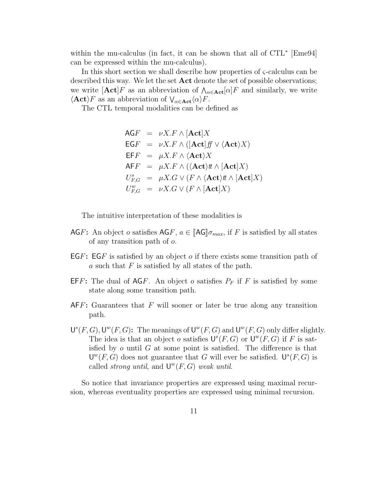within the mu-calculus (in fact, it can be shown that all of  $CTL^*$  [Eme94] can be expressed within the mu-calculus).

In this short section we shall describe how properties of  $\varsigma$ -calculus can be described this way. We let the set **Act** denote the set of possible observations; we write  $[\text{Act}]F$  as an abbreviation of  $\Lambda_{\alpha \in \text{Act}}[\alpha]F$  and similarly, we write  $\langle \textbf{Act} \rangle F$  as an abbreviation of  $\bigvee_{\alpha \in \textbf{Act}} \langle \alpha \rangle F$ .

The CTL temporal modalities can be defined as

$$
AGF = \nu X.F \wedge [\text{Act}]X
$$
  
\n
$$
EGF = \nu X.F \wedge ([\text{Act}]f] \vee \langle \text{Act} \rangle X)
$$
  
\n
$$
EFF = \mu X.F \wedge \langle \text{Act} \rangle X
$$
  
\n
$$
AFF = \mu X.F \wedge (\langle \text{Act} \rangle t \wedge [\text{Act}]X)
$$
  
\n
$$
U_{F,G}^s = \mu X.G \vee (F \wedge \langle \text{Act} \rangle t \wedge [\text{Act}]X)
$$
  
\n
$$
U_{F,G}^w = \nu X.G \vee (F \wedge [\text{Act}]X)
$$

The intuitive interpretation of these modalities is

- AGF: An object o satisfies  $\mathsf{AGF}, a \in [\![\mathsf{AG}]\!] \sigma_{max}$ , if F is satisfied by all states of any transition path of o.
- EGF**:** EGF is satisfied by an object o if there exists some transition path of a such that  $F$  is satisfied by all states of the path.
- **EFF:** The dual of  $AGF$ . An object o satisfies  $P_F$  if F is satisfied by some state along some transition path.
- AFF**:** Guarantees that F will sooner or later be true along any transition path.
- $U^{s}(F, G), U^{w}(F, G)$ : The meanings of  $U^{w}(F, G)$  and  $U^{w}(F, G)$  only differ slightly. The idea is that an object o satisfies  $\mathsf{U}^s(F,G)$  or  $\mathsf{U}^w(F,G)$  if F is satisfied by  $o$  until  $G$  at some point is satisfied. The difference is that  $\mathsf{U}^w(F,G)$  does not guarantee that G will ever be satisfied.  $\mathsf{U}^s(F,G)$  is called *strong until*, and  $U^{w}(F, G)$  weak until.

So notice that invariance properties are expressed using maximal recursion, whereas eventuality properties are expressed using minimal recursion.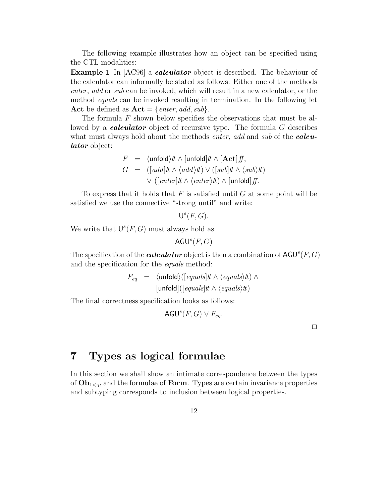The following example illustrates how an object can be specified using the CTL modalities:

**Example 1** In  $[AC96]$  a *calculator* object is described. The behaviour of the calculator can informally be stated as follows: Either one of the methods enter, add or sub can be invoked, which will result in a new calculator, or the method equals can be invoked resulting in termination. In the following let **Act** be defined as  $Act = {enter, add, sub}.$ 

The formula  $F$  shown below specifies the observations that must be allowed by a *calculator* object of recursive type. The formula G describes what must always hold about the methods *enter, add* and *sub* of the *calcu*lator object:

$$
F = \langle \text{unfold} \rangle \text{#} \land [\text{unfold}] \text{#} \land [\text{Act}] \text{#},
$$
  
\n
$$
G = ([add] \text{#} \land \langle add \rangle \text{#}) \lor ([sub] \text{#} \land \langle sub \rangle \text{#})
$$
  
\n
$$
\lor ([enter] \text{#} \land \langle enter \rangle \text{#}) \land [\text{unfold}] \text{#}.
$$

To express that it holds that  $F$  is satisfied until  $G$  at some point will be satisfied we use the connective "strong until" and write:

```
\mathsf{U}^s(F,G).
```
We write that  $\mathsf{U}^s(F,G)$  must always hold as

 $AGU<sup>s</sup>(F, G)$ 

The specification of the *calculator* object is then a combination of  $AGU^{s}(F, G)$ and the specification for the equals method:

$$
F_{eq} = \langle \text{unfold} \rangle([\text{equals}]t \land \langle \text{equals} \rangle t \land \land \langle \text{equals} \rangle t \land \langle \text{equals} \rangle t \land \langle \text{equals} \rangle t \land \langle \text{equals} \rangle t \land \langle \text{equals} \rangle t \land \langle \text{equals} \rangle t \land \langle \text{equals} \rangle t \land \langle \text{equals} \rangle t \land \langle \text{equals} \rangle t \land \langle \text{equals} \rangle t \land \langle \text{equals} \rangle t \land \langle \text{equals} \rangle t \land \langle \text{equals} \rangle t \land \langle \text{equals} \rangle t \land \langle \text{equals} \rangle t \land \langle \text{equals} \rangle t \land \langle \text{equals} \rangle t \land \langle \text{equals} \rangle t \land \langle \text{equals} \rangle t \land \langle \text{equals} \rangle t \land \langle \text{equals} \rangle t \land \langle \text{equals} \rangle t \land \langle \text{equals} \rangle t \land \langle \text{equals} \rangle t \land \langle \text{equals} \rangle t \land \langle \text{equals} \rangle t \land \langle \text{equals} \rangle t \land \langle \text{equals} \rangle t \land \langle \text{equals} \rangle t \land \langle \text{equals} \rangle t \land \langle \text{equals} \rangle t \land \langle \text{equals} \rangle t \land \langle \text{equals} \rangle t \land \langle \text{equals} \rangle t \land \langle \text{equals} \rangle t \land \langle \text{equals} \rangle t \land \langle \text{equals} \rangle t \land \langle \text{equals} \rangle t \land \langle \text{equals} \rangle t \land \langle \text{equals} \rangle t \land \langle \text{equals} \rangle t \land \langle \text{equals} \rangle t \land \langle \text{equals} \rangle t \land \langle \text{equals} \rangle t \land \langle \text{equals} \rangle t \land \langle \text{equals} \rangle t \land \langle \text{equals} \rangle t \land \langle \text{equals} \rangle t \land \langle \text{equals} \rangle t \land \langle \text{equals} \rangle t \land \langle \text{equals} \rangle t \land \langle \text{equals} \rangle t \land \langle \text{equals} \rangle t \land \langle \text{equals} \rangle t \land \langle \text{equals} \rangle t \land \langle \text{equals} \rangle t \land \langle \text{equals} \rangle t \land \langle \text{equals} \rangle t \land \langle \text{equals} \rangle t \land \langle \text{؏} \text{using} \rangle t
$$

The final correctness specification looks as follows:

AGU<sup>s</sup> $(F, G) \vee F_{eq}$ .

 $\Box$ 

## **7 Types as logical formulae**

In this section we shall show an intimate correspondence between the types of  $Ob_{1\leq \mu}$  and the formulae of **Form**. Types are certain invariance properties and subtyping corresponds to inclusion between logical properties.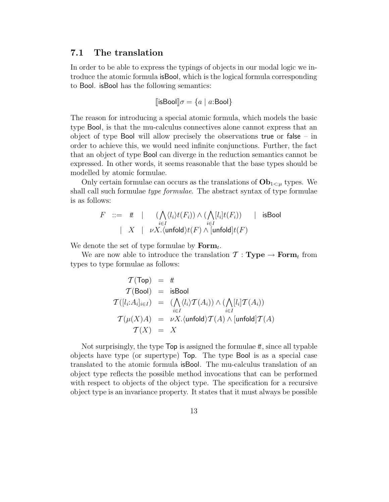#### **7.1 The translation**

In order to be able to express the typings of objects in our modal logic we introduce the atomic formula isBool, which is the logical formula corresponding to Bool. isBool has the following semantics:

$$
[\![\mathsf{isBool}]\!] \sigma = \{a \mid a \mathsf{:Bool}\}
$$

The reason for introducing a special atomic formula, which models the basic type Bool, is that the mu-calculus connectives alone cannot express that an object of type Bool will allow precisely the observations true or false – in order to achieve this, we would need infinite conjunctions. Further, the fact that an object of type Bool can diverge in the reduction semantics cannot be expressed. In other words, it seems reasonable that the base types should be modelled by atomic formulae.

Only certain formulae can occurs as the translations of  $\mathbf{Ob}_{1\leq \mu}$  types. We shall call such formulae type formulae. The abstract syntax of type formulae is as follows:

$$
\begin{array}{lcl} F & ::= & t & | & (\bigwedge_{i \in I} \langle l_i \rangle t(F_i)) \wedge (\bigwedge_{i \in I} [l_i] t(F_i)) & | & \text{isBool} \\ & & | & X & | & \nu X. \langle \text{unfold} \rangle t(F) \wedge [\text{unfold}] t(F) \end{array}
$$

We denote the set of type formulae by  $\mathbf{Form}_t$ .

We are now able to introduce the translation  $\mathcal{T}: \textbf{Type} \rightarrow \textbf{Form}_t$  from types to type formulae as follows:

$$
T(Top) = t
$$
  
\n
$$
T(Bool) = isBool
$$
  
\n
$$
T([l_i:A_i]_{i\in I}) = (\bigwedge_{i\in I} \langle l_i \rangle T(A_i)) \wedge (\bigwedge_{i\in I} [l_i] T(A_i))
$$
  
\n
$$
T(\mu(X)A) = \nu X. \langle \text{unfold} \rangle T(A) \wedge [\text{unfold}] T(A)
$$
  
\n
$$
T(X) = X
$$

Not surprisingly, the type  $Top$  is assigned the formulae  $t$ , since all typable objects have type (or supertype) Top. The type Bool is as a special case translated to the atomic formula isBool. The mu-calculus translation of an object type reflects the possible method invocations that can be performed with respect to objects of the object type. The specification for a recursive object type is an invariance property. It states that it must always be possible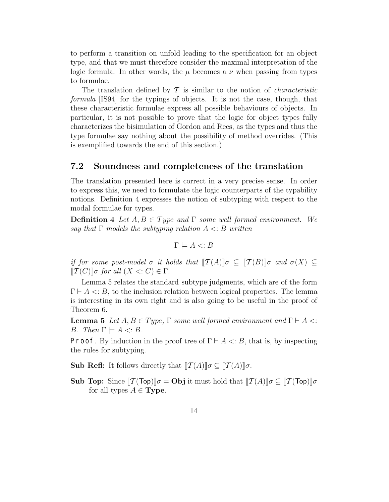to perform a transition on unfold leading to the specification for an object type, and that we must therefore consider the maximal interpretation of the logic formula. In other words, the  $\mu$  becomes a  $\nu$  when passing from types to formulae.

The translation defined by  $\mathcal T$  is similar to the notion of *characteristic* formula [IS94] for the typings of objects. It is not the case, though, that these characteristic formulae express all possible behaviours of objects. In particular, it is not possible to prove that the logic for object types fully characterizes the bisimulation of Gordon and Rees, as the types and thus the type formulae say nothing about the possibility of method overrides. (This is exemplified towards the end of this section.)

#### **7.2 Soundness and completeness of the translation**

The translation presented here is correct in a very precise sense. In order to express this, we need to formulate the logic counterparts of the typability notions. Definition 4 expresses the notion of subtyping with respect to the modal formulae for types.

**Definition 4** Let  $A, B \in Type$  and  $\Gamma$  some well formed environment. We say that  $\Gamma$  models the subtyping relation  $A \leq B$  written

$$
\Gamma \models A \lt: B
$$

if for some post-model  $\sigma$  it holds that  $T(A)\mathbb{I}\sigma \subseteq T(B)\mathbb{I}\sigma$  and  $\sigma(X) \subseteq$  $[\![\mathcal{T}(C)]\!] \sigma$  for all  $(X \leq: C) \in \Gamma$ .

Lemma 5 relates the standard subtype judgments, which are of the form  $\Gamma \vdash A \lt: B$ , to the inclusion relation between logical properties. The lemma is interesting in its own right and is also going to be useful in the proof of Theorem 6.

**Lemma 5** Let  $A, B \in Type$ ,  $\Gamma$  some well formed environment and  $\Gamma \vdash A \leq \Gamma$ B. Then  $\Gamma \models A \leq B$ .

**Proof.** By induction in the proof tree of  $\Gamma \vdash A \lt: B$ , that is, by inspecting the rules for subtyping.

**Sub Refl:** It follows directly that  $[\![\mathcal{T}(A)]\!] \sigma \subseteq [\![\mathcal{T}(A)]\!] \sigma$ .

**Sub Top:** Since  $[\mathcal{T}(\mathsf{Top})] \sigma = \mathsf{Obj}$  it must hold that  $[\mathcal{T}(A)] \sigma \subseteq [\mathcal{T}(\mathsf{Top})] \sigma$ for all types  $A \in \textbf{Type}$ .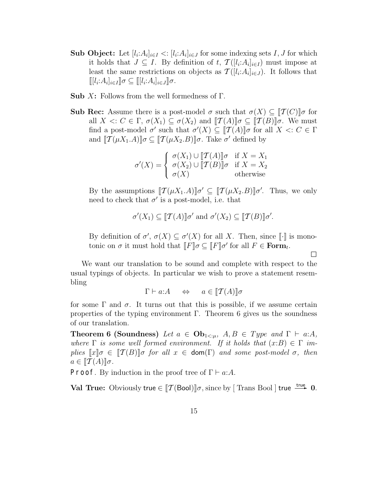- **Sub Object:** Let  $[l_i: A_i]_{i \in I} < [l_i: A_i]_{i \in J}$  for some indexing sets I, J for which it holds that  $J \subseteq I$ . By definition of t,  $\mathcal{T}([l_i:A_i]_{i\in I})$  must impose at least the same restrictions on objects as  $\mathcal{T}([l_i:A_i]_{i\in J})$ . It follows that  $[[[l_i:A_i]_{i\in I}]]\sigma \subseteq [[l_i:A_i]_{i\in J}]]\sigma.$
- **Sub** X**:** Follows from the well formedness of Γ.
- **Sub Rec:** Assume there is a post-model  $\sigma$  such that  $\sigma(X) \subseteq \llbracket \mathcal{T}(C) \rrbracket \sigma$  for all  $X \leq C \in \Gamma$ ,  $\sigma(X_1) \subseteq \sigma(X_2)$  and  $\llbracket \mathcal{T}(A) \rrbracket \sigma \subseteq \llbracket \mathcal{T}(B) \rrbracket \sigma$ . We must find a post-model  $\sigma'$  such that  $\sigma'(X) \subseteq [T(A)]\sigma$  for all  $X \leq: C \in \Gamma$ and  $[\![\mathcal{T}(\mu X_1.A)]\!] \sigma \subseteq [\![\mathcal{T}(\mu X_2.B)]\!] \sigma$ . Take  $\sigma'$  defined by

$$
\sigma'(X) = \begin{cases} \sigma(X_1) \cup [\![\mathcal{T}(A)]\!] \sigma & \text{if } X = X_1 \\ \sigma(X_2) \cup [\![\mathcal{T}(B)]\!] \sigma & \text{if } X = X_2 \\ \sigma(X) & \text{otherwise} \end{cases}
$$

By the assumptions  $[\![\mathcal{T}(\mu X_1.A)]\!] \sigma' \subseteq [\![\mathcal{T}(\mu X_2.B)]\!] \sigma'.$  Thus, we only need to check that  $\sigma'$  is a post-model, i.e. that

$$
\sigma'(X_1) \subseteq [\![\mathcal{T}(A)]\!] \sigma'
$$
 and  $\sigma'(X_2) \subseteq [\![\mathcal{T}(B)]\!] \sigma'$ .

By definition of  $\sigma'$ ,  $\sigma(X) \subseteq \sigma'(X)$  for all X. Then, since [i.] is monotonic on  $\sigma$  it must hold that  $\llbracket F \rrbracket \sigma \subseteq \llbracket F \rrbracket \sigma'$  for all  $F \in \text{Form}_t$ .

 $\Box$ 

We want our translation to be sound and complete with respect to the usual typings of objects. In particular we wish to prove a statement resembling

$$
\Gamma \vdash a:A \quad \Leftrightarrow \quad a \in [\![\mathcal{T}(A)]\!] \sigma
$$

for some  $\Gamma$  and  $\sigma$ . It turns out that this is possible, if we assume certain properties of the typing environment  $\Gamma$ . Theorem 6 gives us the soundness of our translation.

**Theorem 6 (Soundness)** Let  $a \in \textbf{Ob}_{1 \leq \mu}$ ,  $A, B \in Type$  and  $\Gamma \vdash a:A$ , where  $\Gamma$  is some well formed environment. If it holds that  $(x:B) \in \Gamma$  implies  $\llbracket x \rrbracket \sigma \in \llbracket \mathcal{T}(B) \rrbracket \sigma$  for all  $x \in \text{dom}(\Gamma)$  and some post-model  $\sigma$ , then  $a \in \llbracket \mathcal{T}(A) \rrbracket \sigma.$ 

**Proof.** By induction in the proof tree of  $\Gamma \vdash a:A$ .

**Val True:** Obviously true  $\in$   $[T(\text{Bool})]\sigma$ , since by [Trans Bool ] true  $\frac{true}{n}$  0.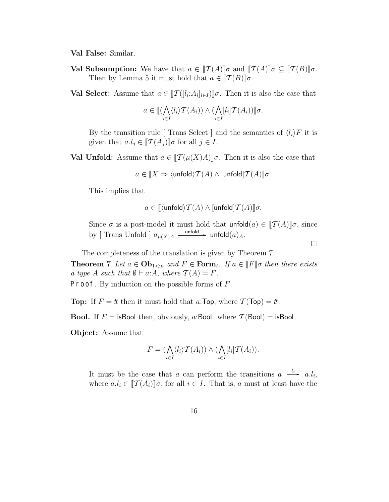**Val False:** Similar.

**Val Subsumption:** We have that  $a \in [T(A)]\sigma$  and  $[T(A)]\sigma \subseteq [T(B)]\sigma$ . Then by Lemma 5 it must hold that  $a \in [T(B)] \sigma$ .

**Val Select:** Assume that  $a \in [T([l_i:A_i]_{i\in I})] \sigma$ . Then it is also the case that

$$
a \in [[(\bigwedge_{i \in I} \langle l_i \rangle \mathcal{T}(A_i)) \wedge (\bigwedge_{i \in I} [l_i] \mathcal{T}(A_i))] \sigma.
$$

By the transition rule [ Trans Select ] and the semantics of  $\langle l_i \rangle F$  it is given that  $a.l_j \in [\![\mathcal{T}(A_j)]\!] \sigma$  for all  $j \in I$ .

**Val Unfold:** Assume that  $a \in [T(\mu(X)A)]\sigma$ . Then it is also the case that

$$
a \in [X \Rightarrow \langle \text{unfold} \rangle \mathcal{T}(A) \land [\text{unfold}] \mathcal{T}(A)] \sigma.
$$

This implies that

$$
a \in [[\langle \mathsf{unfold} \rangle \mathcal{T}(A) \land [\mathsf{unfold}] \mathcal{T}(A)] \sigma.
$$

Since  $\sigma$  is a post-model it must hold that unfold $(a) \in [T(A)]\sigma$ , since by [ Trans Unfold ]  $a_{\mu(X)A} \xrightarrow{\text{unfold}} \text{unfold}(a)_A$ .

 $\Box$ 

The completeness of the translation is given by Theorem 7.

**Theorem 7** Let  $a \in \mathbf{Ob}_{1 \leq \mu}$  and  $F \in \mathbf{Form}_t$ . If  $a \in [F]$  then there exists a type A such that  $\emptyset \vdash a:A$ , where  $\mathcal{T}(A) = F$ .

Proof. By induction on the possible forms of F.

**Top:** If  $F = t$  then it must hold that a: **Top**, where  $\mathcal{T}(\text{Top}) = t$ .

**Bool.** If  $F =$  is Bool then, obviously, a: Bool. where  $T($  Bool.  $\equiv$  is Bool.

**Object:** Assume that

$$
F = (\bigwedge_{i \in I} \langle l_i \rangle \mathcal{T}(A_i)) \wedge (\bigwedge_{i \in I} [l_i] \mathcal{T}(A_i)).
$$

It must be the case that a can perform the transitions  $a \xrightarrow{l_i} a.l_i$ , where  $a.l_i \in [T(A_i)]\sigma$ , for all  $i \in I$ . That is, a must at least have the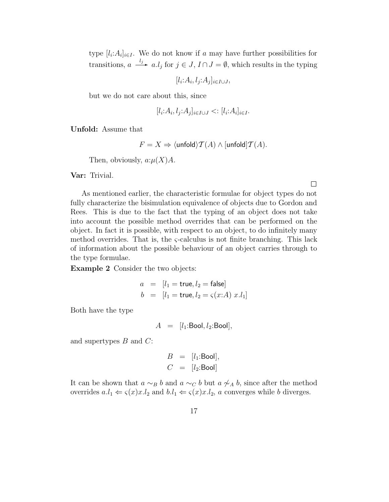type  $[l_i: A_i]_{i\in I}$ . We do not know if a may have further possibilities for transitions,  $a \stackrel{l_j}{\longrightarrow} a.l_j$  for  $j \in J$ ,  $I \cap J = \emptyset$ , which results in the typing

 $[l_i:A_i, l_j:A_j]_{i\in I\cup J}$ 

but we do not care about this, since

$$
[l_i: A_i, l_j: A_j]_{i \in I \cup J} < : [l_i: A_i]_{i \in I}.
$$

**Unfold:** Assume that

$$
F = X \Rightarrow \langle \mathsf{unfold} \rangle \mathcal{T}(A) \land [\mathsf{unfold}] \mathcal{T}(A).
$$

Then, obviously,  $a:\mu(X)A$ .

**Var:** Trivial.

As mentioned earlier, the characteristic formulae for object types do not fully characterize the bisimulation equivalence of objects due to Gordon and Rees. This is due to the fact that the typing of an object does not take into account the possible method overrides that can be performed on the object. In fact it is possible, with respect to an object, to do infinitely many method overrides. That is, the  $\varsigma$ -calculus is not finite branching. This lack of information about the possible behaviour of an object carries through to the type formulae.

**Example 2** Consider the two objects:

$$
a = [l_1 = true, l_2 = false]
$$
  

$$
b = [l_1 = true, l_2 = \varsigma(x:A) \ x.l_1]
$$

Both have the type

$$
A = [l_1:\text{Bool}, l_2:\text{Bool}],
$$

and supertypes  $B$  and  $C$ :

$$
B = [l_1:\text{Bool}],
$$
  

$$
C = [l_2:\text{Bool}]
$$

It can be shown that  $a \sim_B b$  and  $a \sim_C b$  but  $a \not\sim_A b$ , since after the method overrides  $a.l_1 \Leftarrow \varsigma(x)x.l_2$  and  $b.l_1 \Leftarrow \varsigma(x)x.l_2$ , a converges while b diverges.

 $\Box$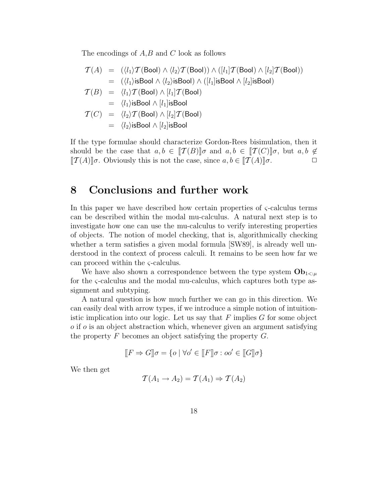The encodings of  $A, B$  and  $C$  look as follows

$$
\mathcal{T}(A) = (\langle l_1 \rangle \mathcal{T}(\text{Bool}) \wedge \langle l_2 \rangle \mathcal{T}(\text{Bool}) ) \wedge ([l_1] \mathcal{T}(\text{Bool}) \wedge [l_2] \mathcal{T}(\text{Bool}) )
$$
\n
$$
= (\langle l_1 \rangle \text{isBool} \wedge \langle l_2 \rangle \text{isBool} ) \wedge ([l_1] \text{isBool} \wedge [l_2] \text{isBool} )
$$
\n
$$
\mathcal{T}(B) = \langle l_1 \rangle \mathcal{T}(\text{Bool}) \wedge [l_1] \mathcal{T}(\text{Bool})
$$
\n
$$
= \langle l_1 \rangle \text{isBool} \wedge [l_1] \text{isBool}
$$
\n
$$
\mathcal{T}(C) = \langle l_2 \rangle \mathcal{T}(\text{Bool}) \wedge [l_2] \mathcal{T}(\text{Bool})
$$
\n
$$
= \langle l_2 \rangle \text{isBool} \wedge [l_2] \text{isBool}
$$

If the type formulae should characterize Gordon-Rees bisimulation, then it should be the case that  $a,b \in [T(B)]\sigma$  and  $a,b \in [T(C)]\sigma$ , but  $a,b \notin$  $[\![\mathcal{T}(A)]\!]$ σ. Obviously this is not the case, since  $a, b \in [\![\mathcal{T}(A)]\!]$ σ.  $\Box$ 

### **8 Conclusions and further work**

In this paper we have described how certain properties of  $\zeta$ -calculus terms can be described within the modal mu-calculus. A natural next step is to investigate how one can use the mu-calculus to verify interesting properties of objects. The notion of model checking, that is, algorithmically checking whether a term satisfies a given modal formula [SW89], is already well understood in the context of process calculi. It remains to be seen how far we can proceed within the ς-calculus.

We have also shown a correspondence between the type system  $\mathbf{Ob}_{1 \leq u}$ for the ς-calculus and the modal mu-calculus, which captures both type assignment and subtyping.

A natural question is how much further we can go in this direction. We can easily deal with arrow types, if we introduce a simple notion of intuitionistic implication into our logic. Let us say that  $F$  implies  $G$  for some object  $\sigma$  if  $\sigma$  is an object abstraction which, whenever given an argument satisfying the property  $F$  becomes an object satisfying the property  $G$ .

$$
[\![F\Rightarrow G]\!] \sigma = \{o \mid \forall o' \in [\![F]\!] \sigma : oo' \in [\![G]\!] \sigma\}
$$

We then get

$$
\mathcal{T}(A_1 \to A_2) = \mathcal{T}(A_1) \Rightarrow \mathcal{T}(A_2)
$$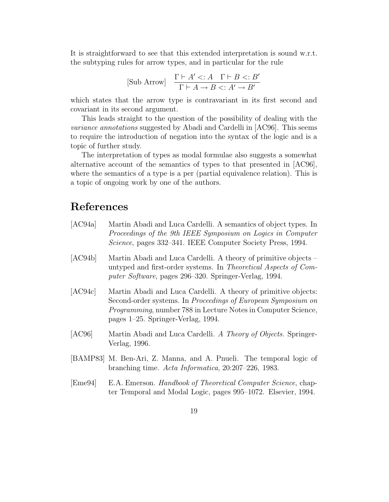It is straightforward to see that this extended interpretation is sound w.r.t. the subtyping rules for arrow types, and in particular for the rule

$$
[\text{Sub Arrow}] \quad \frac{\Gamma \vdash A' <: A \quad \Gamma \vdash B <: B'}{\Gamma \vdash A \to B <: A' \to B'}
$$

which states that the arrow type is contravariant in its first second and covariant in its second argument.

This leads straight to the question of the possibility of dealing with the variance annotations suggested by Abadi and Cardelli in [AC96]. This seems to require the introduction of negation into the syntax of the logic and is a topic of further study.

The interpretation of types as modal formulae also suggests a somewhat alternative account of the semantics of types to that presented in [AC96], where the semantics of a type is a per (partial equivalence relation). This is a topic of ongoing work by one of the authors.

## **References**

- [AC94a] Martin Abadi and Luca Cardelli. A semantics of object types. In Proceedings of the 9th IEEE Symposium on Logics in Computer Science, pages 332–341. IEEE Computer Society Press, 1994.
- [AC94b] Martin Abadi and Luca Cardelli. A theory of primitive objects untyped and first-order systems. In Theoretical Aspects of Computer Software, pages 296–320. Springer-Verlag, 1994.
- [AC94c] Martin Abadi and Luca Cardelli. A theory of primitive objects: Second-order systems. In Proceedings of European Symposium on Programming, number 788 in Lecture Notes in Computer Science, pages 1–25. Springer-Verlag, 1994.
- [AC96] Martin Abadi and Luca Cardelli. A Theory of Objects. Springer-Verlag, 1996.
- [BAMP83] M. Ben-Ari, Z. Manna, and A. Pnueli. The temporal logic of branching time. Acta Informatica, 20:207–226, 1983.
- [Eme94] E.A. Emerson. Handbook of Theoretical Computer Science, chapter Temporal and Modal Logic, pages 995–1072. Elsevier, 1994.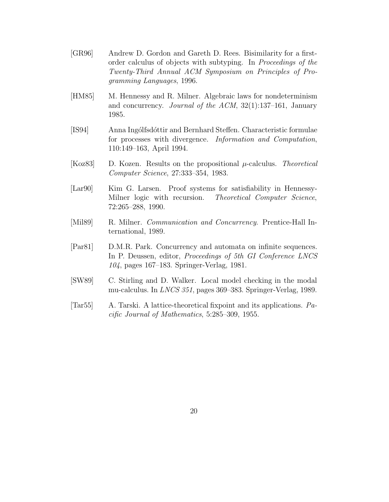- [GR96] Andrew D. Gordon and Gareth D. Rees. Bisimilarity for a firstorder calculus of objects with subtyping. In Proceedings of the Twenty-Third Annual ACM Symposium on Principles of Programming Languages, 1996.
- [HM85] M. Hennessy and R. Milner. Algebraic laws for nondeterminism and concurrency. Journal of the ACM, 32(1):137–161, January 1985.
- [IS94] Anna Ing´olfsd´ottir and Bernhard Steffen. Characteristic formulae for processes with divergence. Information and Computation, 110:149–163, April 1994.
- [Koz83] D. Kozen. Results on the propositional  $\mu$ -calculus. Theoretical Computer Science, 27:333–354, 1983.
- [Lar90] Kim G. Larsen. Proof systems for satisfiability in Hennessy-Milner logic with recursion. Theoretical Computer Science, 72:265–288, 1990.
- [Mil89] R. Milner. *Communication and Concurrency*. Prentice-Hall International, 1989.
- [Par81] D.M.R. Park. Concurrency and automata on infinite sequences. In P. Deussen, editor, Proceedings of 5th GI Conference LNCS 104, pages 167–183. Springer-Verlag, 1981.
- [SW89] C. Stirling and D. Walker. Local model checking in the modal mu-calculus. In LNCS 351, pages 369–383. Springer-Verlag, 1989.
- [Tar55] A. Tarski. A lattice-theoretical fixpoint and its applications. Pacific Journal of Mathematics, 5:285–309, 1955.